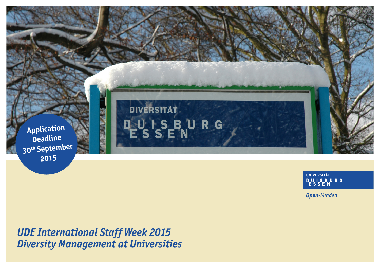

**UNIVERSITÄT DUISBURG** 

**Open-Minded** 

*UDE International Staff Week 2015 Diversity Management at Universities*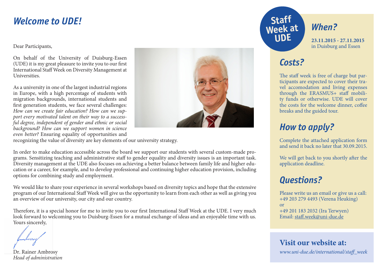### **Welcome to UDE!**

Dear Participants,

On behalf of the University of Duisburg-Essen (UDE) it is my great pleasure to invite you to our first International Staff Week on Diversity Management at Universities.

As a university in one of the largest industrial regions in Europe, with a high percentage of students with migration backgrounds, international students and first generation students, we face several challenges: *How can we create fair education? How can we support every motivated talent on their way to a successful degree, independent of gender and ethnic or social background? How can we support women in science even better?* Ensuring equality of opportunities and



recognizing the value of diversity are key elements of our university strategy.

In order to make education accessible across the board we support our students with several custom-made programs. Sensitizing teaching and administrative staff to gender equality and diversity issues is an important task. Diversity management at the UDE also focuses on achieving a better balance between family life and higher education or a career, for example, and to develop professional and continuing higher education provision, including options for combining study and employment.

We would like to share your experience in several workshops based on diversity topics and hope that the extensive program of our International Staff Week will give us the opportunity to learn from each other as well as giving you an overview of our university, our city and our country.

Therefore, it is a special honor for me to invite you to our first International Staff Week at the UDE. I very much look forward to welcoming you to Duisburg-Essen for a mutual exchange of ideas and an enjoyable time with us. Yours sincerely,

Dr. Rainer Ambrosy *Head of administration*

# *When?*

**23.11.2015 - 27.11.2015**  in Duisburg and Essen

### *Costs?*

**Week at** 

**UDE**

The staff week is free of charge but participants are expected to cover their travel accomodation and living expenses through the ERASMUS+ staff mobility funds or otherwise. UDE will cover the costs for the welcome dinner, coffee breaks and the guided tour.

## *How to apply?*

Complete the attached application form and send it back no later that 30.09.2015.

We will get back to you shortly after the application deadline.

## *Questions?*

Please write us an email or give us a call: +49 203 279 4493 (Verena Heuking) or +49 201 183 2032 (Ira Terwyen) Email: [staff.week@uni-due.de](mailto:staff.week%40uni-due.de?subject=)

**Visit our website at:**

*[www.uni-due.de/international/staff\\_week](http://www.uni-due.de/international/staff_week)*